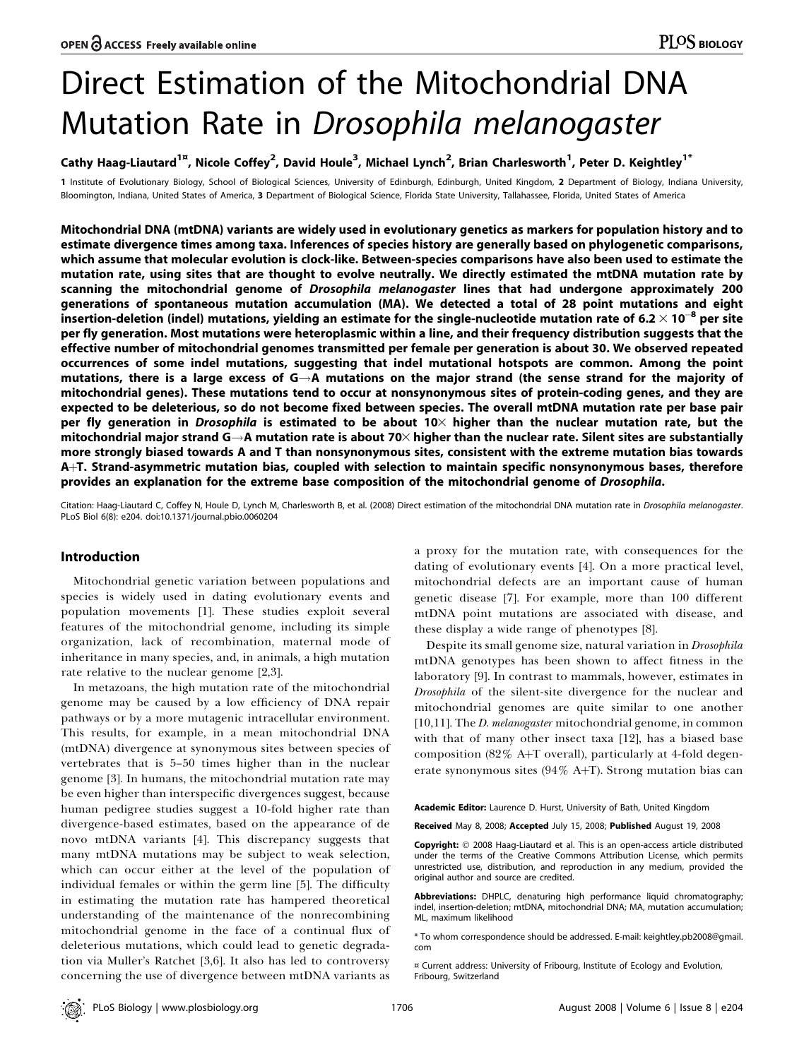# Direct Estimation of the Mitochondrial DNA Mutation Rate in Drosophila melanogaster

# Cathy Haag-Liautard $^{1^\mathrm{z}}$ , Nicole Coffey $^2$ , David Houle $^3$ , Michael Lynch $^2$ , Brian Charlesworth $^1$ , Peter D. Keightley $^{1^\ast}$

1 Institute of Evolutionary Biology, School of Biological Sciences, University of Edinburgh, Edinburgh, United Kingdom, 2 Department of Biology, Indiana University, Bloomington, Indiana, United States of America, 3 Department of Biological Science, Florida State University, Tallahassee, Florida, United States of America

Mitochondrial DNA (mtDNA) variants are widely used in evolutionary genetics as markers for population history and to estimate divergence times among taxa. Inferences of species history are generally based on phylogenetic comparisons, which assume that molecular evolution is clock-like. Between-species comparisons have also been used to estimate the mutation rate, using sites that are thought to evolve neutrally. We directly estimated the mtDNA mutation rate by scanning the mitochondrial genome of Drosophila melanogaster lines that had undergone approximately 200 generations of spontaneous mutation accumulation (MA). We detected a total of 28 point mutations and eight insertion-deletion (indel) mutations, yielding an estimate for the single-nucleotide mutation rate of 6.2  $\times$  10 $^{-8}$  per site per fly generation. Most mutations were heteroplasmic within a line, and their frequency distribution suggests that the effective number of mitochondrial genomes transmitted per female per generation is about 30. We observed repeated occurrences of some indel mutations, suggesting that indel mutational hotspots are common. Among the point mutations, there is a large excess of G $\rightarrow$ A mutations on the major strand (the sense strand for the majority of mitochondrial genes). These mutations tend to occur at nonsynonymous sites of protein-coding genes, and they are expected to be deleterious, so do not become fixed between species. The overall mtDNA mutation rate per base pair per fly generation in *Drosophila* is estimated to be about 10 $\times$  higher than the nuclear mutation rate, but the mitochondrial major strand  $G \rightarrow A$  mutation rate is about 70 $\times$  higher than the nuclear rate. Silent sites are substantially more strongly biased towards A and T than nonsynonymous sites, consistent with the extreme mutation bias towards A+T. Strand-asymmetric mutation bias, coupled with selection to maintain specific nonsynonymous bases, therefore provides an explanation for the extreme base composition of the mitochondrial genome of Drosophila.

Citation: Haag-Liautard C, Coffey N, Houle D, Lynch M, Charlesworth B, et al. (2008) Direct estimation of the mitochondrial DNA mutation rate in Drosophila melanogaster. PLoS Biol 6(8): e204. doi:10.1371/journal.pbio.0060204

## Introduction

Mitochondrial genetic variation between populations and species is widely used in dating evolutionary events and population movements [1]. These studies exploit several features of the mitochondrial genome, including its simple organization, lack of recombination, maternal mode of inheritance in many species, and, in animals, a high mutation rate relative to the nuclear genome [2,3].

In metazoans, the high mutation rate of the mitochondrial genome may be caused by a low efficiency of DNA repair pathways or by a more mutagenic intracellular environment. This results, for example, in a mean mitochondrial DNA (mtDNA) divergence at synonymous sites between species of vertebrates that is 5–50 times higher than in the nuclear genome [3]. In humans, the mitochondrial mutation rate may be even higher than interspecific divergences suggest, because human pedigree studies suggest a 10-fold higher rate than divergence-based estimates, based on the appearance of de novo mtDNA variants [4]. This discrepancy suggests that many mtDNA mutations may be subject to weak selection, which can occur either at the level of the population of individual females or within the germ line [5]. The difficulty in estimating the mutation rate has hampered theoretical understanding of the maintenance of the nonrecombining mitochondrial genome in the face of a continual flux of deleterious mutations, which could lead to genetic degradation via Muller's Ratchet [3,6]. It also has led to controversy concerning the use of divergence between mtDNA variants as

a proxy for the mutation rate, with consequences for the dating of evolutionary events [4]. On a more practical level, mitochondrial defects are an important cause of human genetic disease [7]. For example, more than 100 different mtDNA point mutations are associated with disease, and these display a wide range of phenotypes [8].

Despite its small genome size, natural variation in Drosophila mtDNA genotypes has been shown to affect fitness in the laboratory [9]. In contrast to mammals, however, estimates in Drosophila of the silent-site divergence for the nuclear and mitochondrial genomes are quite similar to one another [10,11]. The *D. melanogaster* mitochondrial genome, in common with that of many other insect taxa [12], has a biased base composition (82% A+T overall), particularly at 4-fold degenerate synonymous sites (94% A+T). Strong mutation bias can

Academic Editor: Laurence D. Hurst, University of Bath, United Kingdom

Received May 8, 2008; Accepted July 15, 2008; Published August 19, 2008

Copyright: © 2008 Haag-Liautard et al. This is an open-access article distributed under the terms of the Creative Commons Attribution License, which permits unrestricted use, distribution, and reproduction in any medium, provided the original author and source are credited.

Abbreviations: DHPLC, denaturing high performance liquid chromatography; indel, insertion-deletion; mtDNA, mitochondrial DNA; MA, mutation accumulation; ML, maximum likelihood

\* To whom correspondence should be addressed. E-mail: keightley.pb2008@gmail. com

¤ Current address: University of Fribourg, Institute of Ecology and Evolution, Fribourg, Switzerland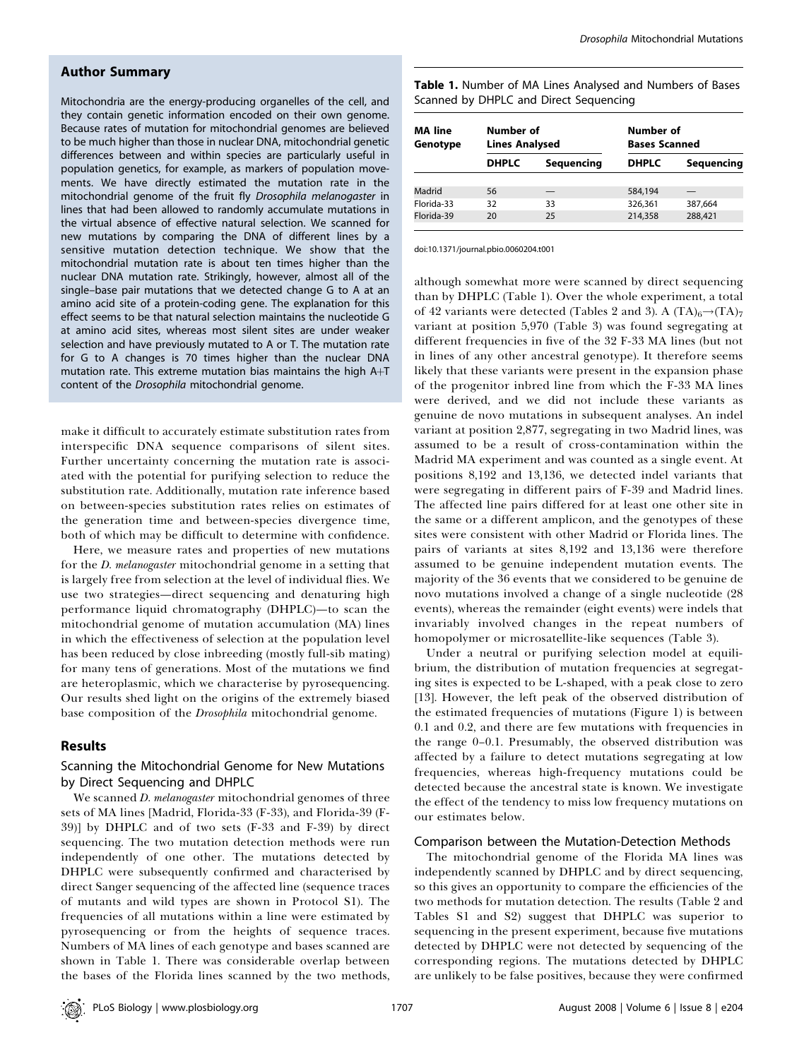# Author Summary

Mitochondria are the energy-producing organelles of the cell, and they contain genetic information encoded on their own genome. Because rates of mutation for mitochondrial genomes are believed to be much higher than those in nuclear DNA, mitochondrial genetic differences between and within species are particularly useful in population genetics, for example, as markers of population movements. We have directly estimated the mutation rate in the mitochondrial genome of the fruit fly Drosophila melanogaster in lines that had been allowed to randomly accumulate mutations in the virtual absence of effective natural selection. We scanned for new mutations by comparing the DNA of different lines by a sensitive mutation detection technique. We show that the mitochondrial mutation rate is about ten times higher than the nuclear DNA mutation rate. Strikingly, however, almost all of the single–base pair mutations that we detected change G to A at an amino acid site of a protein-coding gene. The explanation for this effect seems to be that natural selection maintains the nucleotide G at amino acid sites, whereas most silent sites are under weaker selection and have previously mutated to A or T. The mutation rate for G to A changes is 70 times higher than the nuclear DNA mutation rate. This extreme mutation bias maintains the high  $A + T$ content of the Drosophila mitochondrial genome.

make it difficult to accurately estimate substitution rates from interspecific DNA sequence comparisons of silent sites. Further uncertainty concerning the mutation rate is associated with the potential for purifying selection to reduce the substitution rate. Additionally, mutation rate inference based on between-species substitution rates relies on estimates of the generation time and between-species divergence time, both of which may be difficult to determine with confidence.

Here, we measure rates and properties of new mutations for the *D. melanogaster* mitochondrial genome in a setting that is largely free from selection at the level of individual flies. We use two strategies—direct sequencing and denaturing high performance liquid chromatography (DHPLC)—to scan the mitochondrial genome of mutation accumulation (MA) lines in which the effectiveness of selection at the population level has been reduced by close inbreeding (mostly full-sib mating) for many tens of generations. Most of the mutations we find are heteroplasmic, which we characterise by pyrosequencing. Our results shed light on the origins of the extremely biased base composition of the *Drosophila* mitochondrial genome.

## **Results**

# Scanning the Mitochondrial Genome for New Mutations by Direct Sequencing and DHPLC

We scanned *D. melanogaster* mitochondrial genomes of three sets of MA lines [Madrid, Florida-33 (F-33), and Florida-39 (F-39)] by DHPLC and of two sets (F-33 and F-39) by direct sequencing. The two mutation detection methods were run independently of one other. The mutations detected by DHPLC were subsequently confirmed and characterised by direct Sanger sequencing of the affected line (sequence traces of mutants and wild types are shown in Protocol S1). The frequencies of all mutations within a line were estimated by pyrosequencing or from the heights of sequence traces. Numbers of MA lines of each genotype and bases scanned are shown in Table 1. There was considerable overlap between the bases of the Florida lines scanned by the two methods,

Table 1. Number of MA Lines Analysed and Numbers of Bases Scanned by DHPLC and Direct Sequencing

| <b>MA</b> line<br>Genotype | Number of<br><b>Lines Analysed</b> |            | Number of<br><b>Bases Scanned</b> |            |  |
|----------------------------|------------------------------------|------------|-----------------------------------|------------|--|
|                            | <b>DHPLC</b>                       | Sequencing | <b>DHPLC</b>                      | Sequencing |  |
|                            |                                    |            |                                   |            |  |
| Madrid                     | 56                                 |            | 584,194                           |            |  |
| Florida-33                 | 32                                 | 33         | 326,361                           | 387.664    |  |
| Florida-39                 | 20                                 | 25         | 214,358                           | 288,421    |  |

doi:10.1371/journal.pbio.0060204.t001

although somewhat more were scanned by direct sequencing than by DHPLC (Table 1). Over the whole experiment, a total of 42 variants were detected (Tables 2 and 3). A  $(TA)_6 \rightarrow (TA)_7$ variant at position 5,970 (Table 3) was found segregating at different frequencies in five of the 32 F-33 MA lines (but not in lines of any other ancestral genotype). It therefore seems likely that these variants were present in the expansion phase of the progenitor inbred line from which the F-33 MA lines were derived, and we did not include these variants as genuine de novo mutations in subsequent analyses. An indel variant at position 2,877, segregating in two Madrid lines, was assumed to be a result of cross-contamination within the Madrid MA experiment and was counted as a single event. At positions 8,192 and 13,136, we detected indel variants that were segregating in different pairs of F-39 and Madrid lines. The affected line pairs differed for at least one other site in the same or a different amplicon, and the genotypes of these sites were consistent with other Madrid or Florida lines. The pairs of variants at sites 8,192 and 13,136 were therefore assumed to be genuine independent mutation events. The majority of the 36 events that we considered to be genuine de novo mutations involved a change of a single nucleotide (28 events), whereas the remainder (eight events) were indels that invariably involved changes in the repeat numbers of homopolymer or microsatellite-like sequences (Table 3).

Under a neutral or purifying selection model at equilibrium, the distribution of mutation frequencies at segregating sites is expected to be L-shaped, with a peak close to zero [13]. However, the left peak of the observed distribution of the estimated frequencies of mutations (Figure 1) is between 0.1 and 0.2, and there are few mutations with frequencies in the range 0–0.1. Presumably, the observed distribution was affected by a failure to detect mutations segregating at low frequencies, whereas high-frequency mutations could be detected because the ancestral state is known. We investigate the effect of the tendency to miss low frequency mutations on our estimates below.

#### Comparison between the Mutation-Detection Methods

The mitochondrial genome of the Florida MA lines was independently scanned by DHPLC and by direct sequencing, so this gives an opportunity to compare the efficiencies of the two methods for mutation detection. The results (Table 2 and Tables S1 and S2) suggest that DHPLC was superior to sequencing in the present experiment, because five mutations detected by DHPLC were not detected by sequencing of the corresponding regions. The mutations detected by DHPLC are unlikely to be false positives, because they were confirmed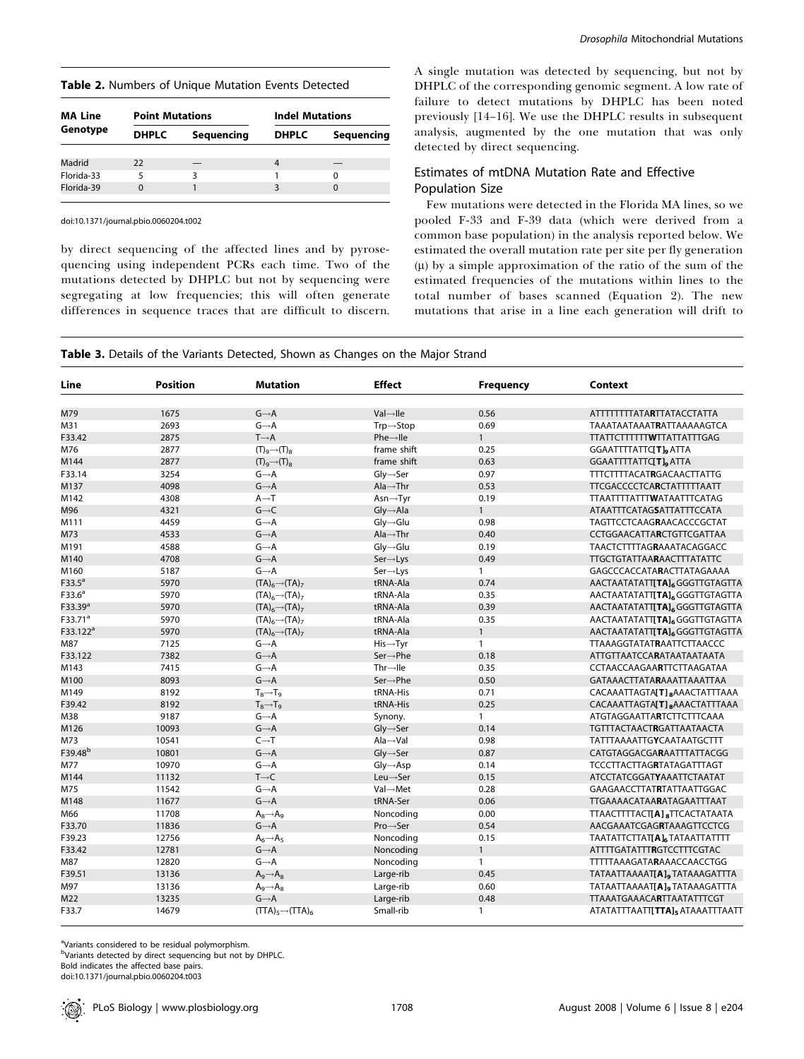| <b>MA Line</b><br>Genotype | <b>Point Mutations</b> |            | <b>Indel Mutations</b> |            |  |
|----------------------------|------------------------|------------|------------------------|------------|--|
|                            | <b>DHPLC</b>           | Sequencing | <b>DHPLC</b>           | Sequencing |  |
|                            |                        |            |                        |            |  |
| Madrid                     | 22                     |            | 4                      |            |  |
| Florida-33                 | 5                      | ੨          |                        | 0          |  |
| Florida-39                 | $\Omega$               |            | 3                      | 0          |  |

doi:10.1371/journal.pbio.0060204.t002

by direct sequencing of the affected lines and by pyrosequencing using independent PCRs each time. Two of the mutations detected by DHPLC but not by sequencing were segregating at low frequencies; this will often generate differences in sequence traces that are difficult to discern. A single mutation was detected by sequencing, but not by DHPLC of the corresponding genomic segment. A low rate of failure to detect mutations by DHPLC has been noted previously [14–16]. We use the DHPLC results in subsequent analysis, augmented by the one mutation that was only detected by direct sequencing.

## Estimates of mtDNA Mutation Rate and Effective Population Size

Few mutations were detected in the Florida MA lines, so we pooled F-33 and F-39 data (which were derived from a common base population) in the analysis reported below. We estimated the overall mutation rate per site per fly generation  $(\mu)$  by a simple approximation of the ratio of the sum of the estimated frequencies of the mutations within lines to the total number of bases scanned (Equation 2). The new mutations that arise in a line each generation will drift to

| Line                 | <b>Position</b> | <b>Mutation</b>                 | <b>Effect</b>                           | <b>Frequency</b> | <b>Context</b>                                        |
|----------------------|-----------------|---------------------------------|-----------------------------------------|------------------|-------------------------------------------------------|
|                      |                 | $G \rightarrow A$               | $Val \rightarrow$ lle                   | 0.56             |                                                       |
| M79<br>M31           | 1675<br>2693    | $G \rightarrow A$               | $Tip \rightarrow Stop$                  | 0.69             | ATTTTTTTATARTTATACCTATTA<br>TAAATAATAAATRATTAAAAAGTCA |
| F33.42               | 2875            | $T \rightarrow A$               | $Phe \rightarrow He$                    | $\mathbf{1}$     | <b>TTATTCTTTTTTWTTATTATTTGAG</b>                      |
| M76                  | 2877            | $(T)9\rightarrow(T)8$           | frame shift                             | 0.25             | GGAATTTTATTC[ <b>T</b> ], ATTA                        |
| M144                 | 2877            | $(T)9\rightarrow(T)8$           | frame shift                             | 0.63             | GGAATTTTATTC[T], ATTA                                 |
| F33.14               | 3254            | $G \rightarrow A$               | $\mathsf{Gly}{\rightarrow}\mathsf{Ser}$ | 0.97             | <b>TTTCTTTTACATRGACAACTTATTG</b>                      |
| M137                 | 4098            | $G \rightarrow A$               | $Ala \rightarrow Thr$                   | 0.53             | <b>TTCGACCCCTCARCTATTTTTAATT</b>                      |
|                      |                 | $A \rightarrow T$               |                                         |                  |                                                       |
| M142                 | 4308            | $G\rightarrow C$                | $Asn \rightarrow Tyr$                   | 0.19             | TTAATTTTATTTWATAATTTCATAG                             |
| M96                  | 4321            |                                 | $Gly \rightarrow Ala$                   | $\mathbf{1}$     | <b>ATAATTTCATAGSATTATTTCCATA</b>                      |
| M111                 | 4459            | $G \rightarrow A$               | $\mathsf{Gly}{\rightarrow}\mathsf{Glu}$ | 0.98             | <b>TAGTTCCTCAAGRAACACCCGCTAT</b>                      |
| M73                  | 4533            | $G \rightarrow A$               | $\mathsf{Ala}\rightarrow\mathsf{Thr}$   | 0.40             | <b>CCTGGAACATTARCTGTTCGATTAA</b>                      |
| M191                 | 4588            | $G \rightarrow A$               | $Gly \rightarrow Glu$                   | 0.19             | <b>TAACTCTTTTAGRAAATACAGGACC</b>                      |
| M140                 | 4708            | $G \rightarrow A$               | $Ser \rightarrow Lys$                   | 0.49             | <b>TTGCTGTATTAARAACTTTATATTC</b>                      |
| M160                 | 5187            | $G \rightarrow A$               | $Ser \rightarrow Lys$                   | $\mathbf{1}$     | GAGCCCACCATARACTTATAGAAAA                             |
| $F33.5^a$            | 5970            | $(TA)_6 \rightarrow (TA)_7$     | tRNA-Ala                                | 0.74             | AACTAATATATT[TA] <sub>6</sub> GGGTTGTAGTTA            |
| F33.6 <sup>a</sup>   | 5970            | $(TA)_{6} \rightarrow (TA)_{7}$ | tRNA-Ala                                | 0.35             | AACTAATATATT[TA] <sub>6</sub> GGGTTGTAGTTA            |
| F33.39 <sup>a</sup>  | 5970            | $(TA)6\rightarrow (TA)7$        | tRNA-Ala                                | 0.39             | AACTAATATATT[TA] <sub>6</sub> GGGTTGTAGTTA            |
| F33.71 <sup>a</sup>  | 5970            | $(TA)6\rightarrow (TA)7$        | tRNA-Ala                                | 0.35             | AACTAATATATT <b>TA]</b> 6GGGTTGTAGTTA                 |
| F33.122 <sup>a</sup> | 5970            | $(TA)6\rightarrow (TA)7$        | tRNA-Ala                                | $\mathbf{1}$     | AACTAATATATT[TA] <sub>6</sub> GGGTTGTAGTTA            |
| M87                  | 7125            | $G \rightarrow A$               | $His \rightarrow Tyr$                   | $\mathbf{1}$     | <b>TTAAAGGTATATRAATTCTTAACCC</b>                      |
| F33.122              | 7382            | $G \rightarrow A$               | $Ser \rightarrow Phe$                   | 0.18             | ATTGTTAATCCARATAATAATAATA                             |
| M143                 | 7415            | $G \rightarrow A$               | $Thr \rightarrow He$                    | 0.35             | CCTAACCAAGAARTTCTTAAGATAA                             |
| M100                 | 8093            | $G \rightarrow A$               | $Ser \rightarrow Phe$                   | 0.50             | <b>GATAAACTTATARAAATTAAATTAA</b>                      |
| M149                 | 8192            | $T_8 \rightarrow T_9$           | tRNA-His                                | 0.71             | CACAAATTAGTA[T] 8AAACTATTTAAA                         |
| F39.42               | 8192            | $T_8 \rightarrow T_9$           | tRNA-His                                | 0.25             | CACAAATTAGTA[T], AAACTATTTAAA                         |
| M38                  | 9187            | $G \rightarrow A$               | Synony.                                 | $\mathbf{1}$     | ATGTAGGAATTARTCTTCTTTCAAA                             |
| M126                 | 10093           | $G \rightarrow A$               | $Gly \rightarrow$ Ser                   | 0.14             | <b>TGTTTACTAACTRGATTAATAACTA</b>                      |
| M73                  | 10541           | $C \rightarrow T$               | $Ala \rightarrow Val$                   | 0.98             | <b>TATTTAAAATTGYCAATAATGCTTT</b>                      |
| F39.48 <sup>b</sup>  | 10801           | $G \rightarrow A$               | $\mathsf{Gly}{\rightarrow}\mathsf{Ser}$ | 0.87             | CATGTAGGACGARAATTTATTACGG                             |
| M77                  | 10970           | $G \rightarrow A$               | $Gly \rightarrow Asp$                   | 0.14             | TCCCTTACTTAGRTATAGATTTAGT                             |
| M144                 | 11132           | $T\rightarrow C$                | $Leu \rightarrow$ Ser                   | 0.15             | <b>ATCCTATCGGATYAAATTCTAATAT</b>                      |
| M75                  | 11542           | $G \rightarrow A$               | Val→Met                                 | 0.28             | <b>GAAGAACCTTATRTATTAATTGGAC</b>                      |
| M148                 | 11677           | $G \rightarrow A$               | tRNA-Ser                                | 0.06             | <b>TTGAAAACATAARATAGAATTTAAT</b>                      |
| M66                  | 11708           | $A_8 \rightarrow A_9$           | Noncoding                               | 0.00             | TTAACTTTTACTI <b>A</b> ] <sub>8</sub> TTCACTATAATA    |
| F33.70               | 11836           | $G \rightarrow A$               | $Pro \rightarrow Ser$                   | 0.54             | AACGAAATCGAGRTAAAGTTCCTCG                             |
| F39.23               | 12756           | $A_6 \rightarrow A_5$           | Noncoding                               | 0.15             | <b>ΤΑΑΤΑΤΤΣΤΤΑΤΙΑΙ, ΤΑΤΑΑΤΤΑΤΤΤΤ</b>                  |
| F33.42               | 12781           | $G \rightarrow A$               | Noncoding                               | $\mathbf{1}$     | ATTTTGATATTTRGTCCTTTCGTAC                             |
| M87                  | 12820           | $G \rightarrow A$               | Noncoding                               | $\mathbf{1}$     | <b>TTTTTAAAGATARAAACCAACCTGG</b>                      |
| F39.51               | 13136           | $A_9 \rightarrow A_8$           | Large-rib                               | 0.45             | TATAATTAAAAT[A], TATAAAGATTTA                         |
| M97                  | 13136           | $A_9 \rightarrow A_8$           | Large-rib                               | 0.60             | TATAATTAAAAT[A], TATAAAGATTTA                         |
| M22                  | 13235           | $G \rightarrow A$               | Large-rib                               | 0.48             | <b>TTAAATGAAACARTTAATATTTCGT</b>                      |
| F33.7                | 14679           | $(TTA)_5 \rightarrow (TTA)_6$   | Small-rib                               | $\mathbf{1}$     | ATATATTTAATT <b>[TTA]</b> <sub>5</sub> ATAAATTTAATT   |

<sup>a</sup>Variants considered to be residual polymorphism.

bVariants detected by direct sequencing but not by DHPLC. Bold indicates the affected base pairs.

doi:10.1371/journal.pbio.0060204.t003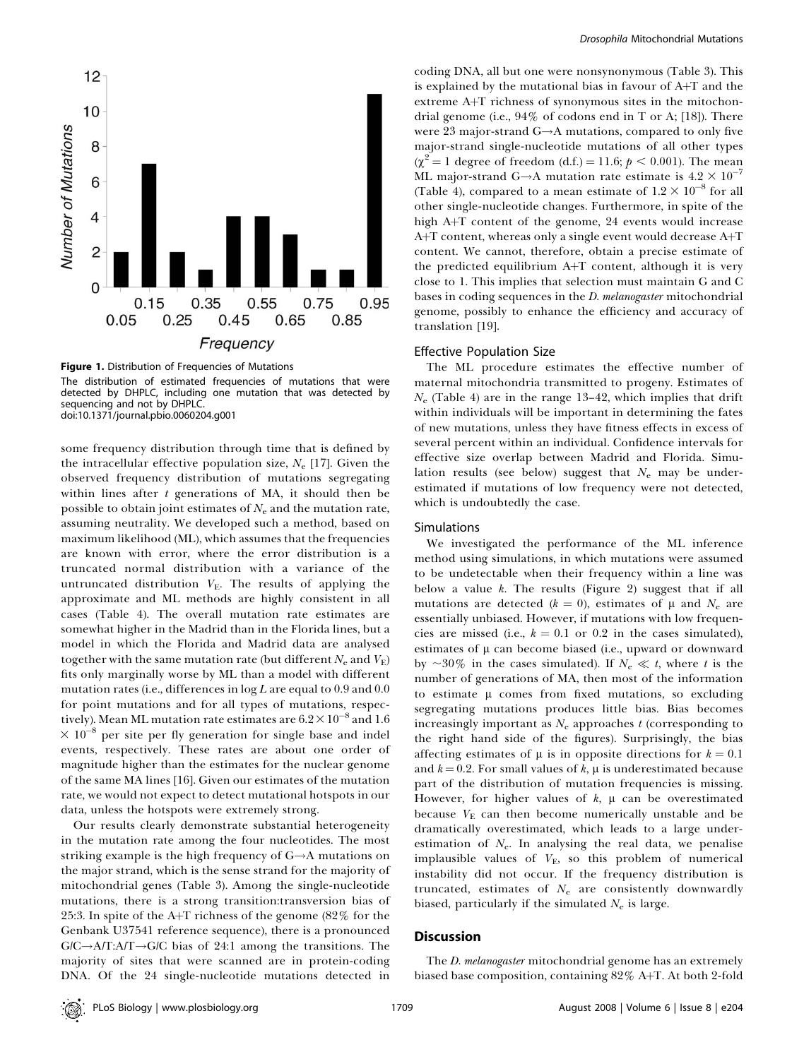

Figure 1. Distribution of Frequencies of Mutations The distribution of estimated frequencies of mutations that were detected by DHPLC, including one mutation that was detected by sequencing and not by DHPLC. doi:10.1371/journal.pbio.0060204.g001

some frequency distribution through time that is defined by the intracellular effective population size,  $N_e$  [17]. Given the observed frequency distribution of mutations segregating within lines after  $t$  generations of MA, it should then be possible to obtain joint estimates of  $N_e$  and the mutation rate, assuming neutrality. We developed such a method, based on maximum likelihood (ML), which assumes that the frequencies are known with error, where the error distribution is a truncated normal distribution with a variance of the untruncated distribution  $V<sub>E</sub>$ . The results of applying the approximate and ML methods are highly consistent in all cases (Table 4). The overall mutation rate estimates are somewhat higher in the Madrid than in the Florida lines, but a model in which the Florida and Madrid data are analysed together with the same mutation rate (but different  $N_e$  and  $V_E$ ) fits only marginally worse by ML than a model with different mutation rates (i.e., differences in  $\log L$  are equal to 0.9 and 0.0 for point mutations and for all types of mutations, respectively). Mean ML mutation rate estimates are  $6.2\times10^{-8}$  and  $1.6$  $\times$  10<sup>-8</sup> per site per fly generation for single base and indel events, respectively. These rates are about one order of magnitude higher than the estimates for the nuclear genome of the same MA lines [16]. Given our estimates of the mutation rate, we would not expect to detect mutational hotspots in our data, unless the hotspots were extremely strong.

Our results clearly demonstrate substantial heterogeneity in the mutation rate among the four nucleotides. The most striking example is the high frequency of  $G \rightarrow A$  mutations on the major strand, which is the sense strand for the majority of mitochondrial genes (Table 3). Among the single-nucleotide mutations, there is a strong transition:transversion bias of 25:3. In spite of the A+T richness of the genome  $(82\%$  for the Genbank U37541 reference sequence), there is a pronounced  $G/C \rightarrow A/T$ :A/T $\rightarrow G/C$  bias of 24:1 among the transitions. The majority of sites that were scanned are in protein-coding DNA. Of the 24 single-nucleotide mutations detected in

coding DNA, all but one were nonsynonymous (Table 3). This is explained by the mutational bias in favour of  $A+T$  and the extreme A+T richness of synonymous sites in the mitochondrial genome (i.e., 94% of codons end in T or A; [18]). There were 23 major-strand  $G \rightarrow A$  mutations, compared to only five major-strand single-nucleotide mutations of all other types  $(\chi^2 = 1 \text{ degree of freedom } (d.f.) = 11.6; p < 0.001)$ . The mean ML major-strand G $\rightarrow$ A mutation rate estimate is  $4.2 \times 10^{-7}$ (Table 4), compared to a mean estimate of  $1.2 \times 10^{-8}$  for all other single-nucleotide changes. Furthermore, in spite of the high  $A+T$  content of the genome, 24 events would increase  $A + T$  content, whereas only a single event would decrease  $A + T$ content. We cannot, therefore, obtain a precise estimate of the predicted equilibrium  $A+T$  content, although it is very close to 1. This implies that selection must maintain G and C bases in coding sequences in the D. melanogaster mitochondrial genome, possibly to enhance the efficiency and accuracy of translation [19].

#### Effective Population Size

The ML procedure estimates the effective number of maternal mitochondria transmitted to progeny. Estimates of  $N_e$  (Table 4) are in the range 13–42, which implies that drift within individuals will be important in determining the fates of new mutations, unless they have fitness effects in excess of several percent within an individual. Confidence intervals for effective size overlap between Madrid and Florida. Simulation results (see below) suggest that  $N_e$  may be underestimated if mutations of low frequency were not detected, which is undoubtedly the case.

#### Simulations

We investigated the performance of the ML inference method using simulations, in which mutations were assumed to be undetectable when their frequency within a line was below a value  $k$ . The results (Figure 2) suggest that if all mutations are detected ( $k = 0$ ), estimates of  $\mu$  and  $N_e$  are essentially unbiased. However, if mutations with low frequencies are missed (i.e.,  $k = 0.1$  or 0.2 in the cases simulated), estimates of  $\mu$  can become biased (i.e., upward or downward by  $\sim$ 30% in the cases simulated). If  $N_e \ll t$ , where t is the number of generations of MA, then most of the information to estimate  $\mu$  comes from fixed mutations, so excluding segregating mutations produces little bias. Bias becomes increasingly important as  $N_e$  approaches t (corresponding to the right hand side of the figures). Surprisingly, the bias affecting estimates of  $\mu$  is in opposite directions for  $k = 0.1$ and  $k = 0.2$ . For small values of k,  $\mu$  is underestimated because part of the distribution of mutation frequencies is missing. However, for higher values of  $k$ ,  $\mu$  can be overestimated because  $V<sub>E</sub>$  can then become numerically unstable and be dramatically overestimated, which leads to a large underestimation of  $N_e$ . In analysing the real data, we penalise implausible values of  $V_{\rm E}$ , so this problem of numerical instability did not occur. If the frequency distribution is truncated, estimates of  $N_e$  are consistently downwardly biased, particularly if the simulated  $N_e$  is large.

### **Discussion**

The *D. melanogaster* mitochondrial genome has an extremely biased base composition, containing 82% A+T. At both 2-fold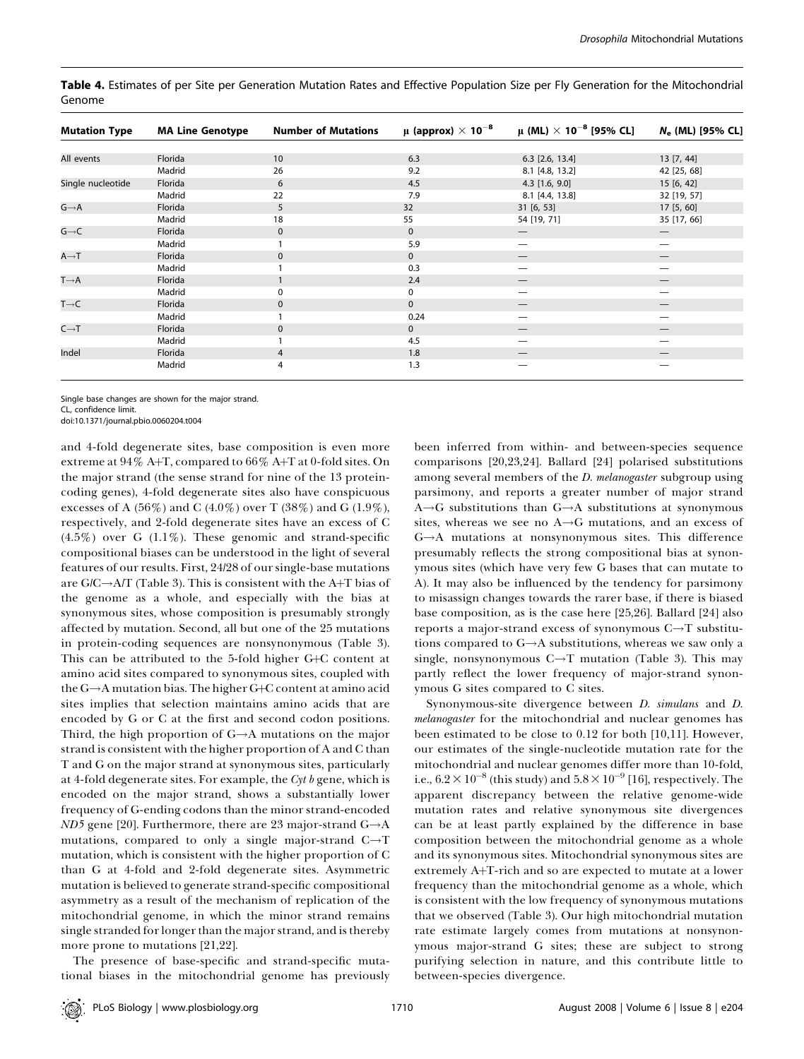| <b>Mutation Type</b> | <b>MA Line Genotype</b> | <b>Number of Mutations</b> | μ (approx) $\times$ 10 <sup>-8</sup> | $\mu$ (ML) $\times$ 10 <sup>-8</sup> [95% CL] | N <sub>e</sub> (ML) [95% CL]    |
|----------------------|-------------------------|----------------------------|--------------------------------------|-----------------------------------------------|---------------------------------|
|                      |                         |                            |                                      |                                               |                                 |
| All events           | Florida                 | 10                         | 6.3                                  | $6.3$ [2.6, 13.4]                             | 13 [7, 44]                      |
|                      | Madrid                  | 26                         | 9.2                                  | 8.1 [4.8, 13.2]                               | 42 [25, 68]                     |
| Single nucleotide    | Florida                 | 6                          | 4.5                                  | $4.3$ [1.6, 9.0]                              | 15[6, 42]                       |
|                      | Madrid                  | 22                         | 7.9                                  | 8.1 [4.4, 13.8]                               | 32 [19, 57]                     |
| $G \rightarrow A$    | Florida                 | 5                          | 32                                   | 31 [6, 53]                                    | 17 [5, 60]                      |
|                      | Madrid                  | 18                         | 55                                   | 54 [19, 71]                                   | 35 [17, 66]                     |
| $G \rightarrow C$    | Florida                 | $\mathbf 0$                | $\mathbf 0$                          |                                               | $\hspace{0.1mm}-\hspace{0.1mm}$ |
|                      | Madrid                  |                            | 5.9                                  |                                               |                                 |
| $A \rightarrow T$    | Florida                 | $\mathbf{0}$               | $\mathbf{0}$                         |                                               |                                 |
|                      | Madrid                  |                            | 0.3                                  |                                               |                                 |
| $T \rightarrow A$    | Florida                 |                            | 2.4                                  |                                               |                                 |
|                      | Madrid                  | 0                          | 0                                    |                                               |                                 |
| $T\rightarrow C$     | Florida                 | 0                          | $\mathbf 0$                          |                                               |                                 |
|                      | Madrid                  |                            | 0.24                                 |                                               |                                 |
| $C \rightarrow T$    | Florida                 | 0                          | $\mathbf 0$                          |                                               |                                 |
|                      | Madrid                  |                            | 4.5                                  |                                               |                                 |
| Indel                | Florida                 | 4                          | 1.8                                  |                                               |                                 |
|                      | Madrid                  | 4                          | 1.3                                  |                                               |                                 |

Table 4. Estimates of per Site per Generation Mutation Rates and Effective Population Size per Fly Generation for the Mitochondrial Genome

Single base changes are shown for the major strand.

CL, confidence limit.

doi:10.1371/journal.pbio.0060204.t004

and 4-fold degenerate sites, base composition is even more extreme at  $94\%$  A+T, compared to  $66\%$  A+T at 0-fold sites. On the major strand (the sense strand for nine of the 13 proteincoding genes), 4-fold degenerate sites also have conspicuous excesses of A (56%) and C (4.0%) over T (38%) and G (1.9%), respectively, and 2-fold degenerate sites have an excess of C  $(4.5\%)$  over G  $(1.1\%)$ . These genomic and strand-specific compositional biases can be understood in the light of several features of our results. First, 24/28 of our single-base mutations are  $G/C \rightarrow A/T$  (Table 3). This is consistent with the A+T bias of the genome as a whole, and especially with the bias at synonymous sites, whose composition is presumably strongly affected by mutation. Second, all but one of the 25 mutations in protein-coding sequences are nonsynonymous (Table 3). This can be attributed to the 5-fold higher  $G+C$  content at amino acid sites compared to synonymous sites, coupled with the  $G \rightarrow A$  mutation bias. The higher  $G+C$  content at amino acid sites implies that selection maintains amino acids that are encoded by G or C at the first and second codon positions. Third, the high proportion of  $G \rightarrow A$  mutations on the major strand is consistent with the higher proportion of A and C than T and G on the major strand at synonymous sites, particularly at 4-fold degenerate sites. For example, the  $Cyt b$  gene, which is encoded on the major strand, shows a substantially lower frequency of G-ending codons than the minor strand-encoded  $ND5$  gene [20]. Furthermore, there are 23 major-strand  $G \rightarrow A$ mutations, compared to only a single major-strand  $C \rightarrow T$ mutation, which is consistent with the higher proportion of C than G at 4-fold and 2-fold degenerate sites. Asymmetric mutation is believed to generate strand-specific compositional asymmetry as a result of the mechanism of replication of the mitochondrial genome, in which the minor strand remains single stranded for longer than the major strand, and is thereby more prone to mutations [21,22].

The presence of base-specific and strand-specific mutational biases in the mitochondrial genome has previously

been inferred from within- and between-species sequence comparisons [20,23,24]. Ballard [24] polarised substitutions among several members of the *D. melanogaster* subgroup using parsimony, and reports a greater number of major strand  $A \rightarrow G$  substitutions than  $G \rightarrow A$  substitutions at synonymous sites, whereas we see no  $A \rightarrow G$  mutations, and an excess of  $G \rightarrow A$  mutations at nonsynonymous sites. This difference presumably reflects the strong compositional bias at synonymous sites (which have very few G bases that can mutate to A). It may also be influenced by the tendency for parsimony to misassign changes towards the rarer base, if there is biased base composition, as is the case here [25,26]. Ballard [24] also reports a major-strand excess of synonymous  $C \rightarrow T$  substitutions compared to  $G \rightarrow A$  substitutions, whereas we saw only a single, nonsynonymous  $C \rightarrow T$  mutation (Table 3). This may partly reflect the lower frequency of major-strand synonymous G sites compared to C sites.

Synonymous-site divergence between D. simulans and D. melanogaster for the mitochondrial and nuclear genomes has been estimated to be close to 0.12 for both [10,11]. However, our estimates of the single-nucleotide mutation rate for the mitochondrial and nuclear genomes differ more than 10-fold, i.e.,  $6.2 \times 10^{-8}$  (this study) and  $5.8 \times 10^{-9}$  [16], respectively. The apparent discrepancy between the relative genome-wide mutation rates and relative synonymous site divergences can be at least partly explained by the difference in base composition between the mitochondrial genome as a whole and its synonymous sites. Mitochondrial synonymous sites are extremely A+T-rich and so are expected to mutate at a lower frequency than the mitochondrial genome as a whole, which is consistent with the low frequency of synonymous mutations that we observed (Table 3). Our high mitochondrial mutation rate estimate largely comes from mutations at nonsynonymous major-strand G sites; these are subject to strong purifying selection in nature, and this contribute little to between-species divergence.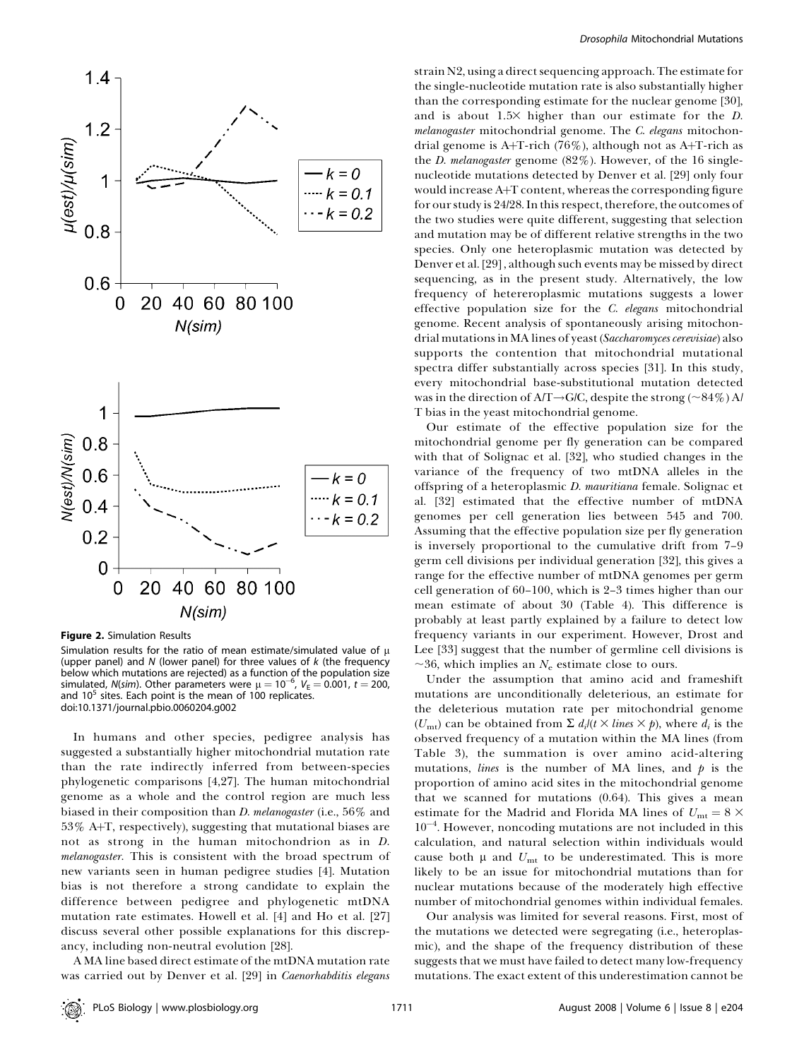

Figure 2. Simulation Results

Simulation results for the ratio of mean estimate/simulated value of  $\mu$ (upper panel) and  $N$  (lower panel) for three values of  $k$  (the frequency below which mutations are rejected) as a function of the population size simulated, N(sim). Other parameters were  $\mu = 10^{-6}$ ,  $V_{\rm E} = 0.001$ ,  $t = 200$ , and  $10<sup>5</sup>$  sites. Each point is the mean of 100 replicates. doi:10.1371/journal.pbio.0060204.g002

In humans and other species, pedigree analysis has suggested a substantially higher mitochondrial mutation rate than the rate indirectly inferred from between-species phylogenetic comparisons [4,27]. The human mitochondrial genome as a whole and the control region are much less biased in their composition than *D. melanogaster* (i.e., 56% and  $53\%$  A+T, respectively), suggesting that mutational biases are not as strong in the human mitochondrion as in D. melanogaster. This is consistent with the broad spectrum of new variants seen in human pedigree studies [4]. Mutation bias is not therefore a strong candidate to explain the difference between pedigree and phylogenetic mtDNA mutation rate estimates. Howell et al. [4] and Ho et al. [27] discuss several other possible explanations for this discrepancy, including non-neutral evolution [28].

A MA line based direct estimate of the mtDNA mutation rate was carried out by Denver et al. [29] in Caenorhabditis elegans

strain N2, using a direct sequencing approach. The estimate for the single-nucleotide mutation rate is also substantially higher than the corresponding estimate for the nuclear genome [30], and is about  $1.5\times$  higher than our estimate for the D. melanogaster mitochondrial genome. The C. elegans mitochondrial genome is A+T-rich (76%), although not as A+T-rich as the *D. melanogaster* genome (82%). However, of the 16 singlenucleotide mutations detected by Denver et al. [29] only four would increase A+T content, whereas the corresponding figure for our study is 24/28. In this respect, therefore, the outcomes of the two studies were quite different, suggesting that selection and mutation may be of different relative strengths in the two species. Only one heteroplasmic mutation was detected by Denver et al. [29] , although such events may be missed by direct sequencing, as in the present study. Alternatively, the low frequency of hetereroplasmic mutations suggests a lower effective population size for the C. elegans mitochondrial genome. Recent analysis of spontaneously arising mitochondrial mutations in MA lines of yeast (Saccharomyces cerevisiae) also supports the contention that mitochondrial mutational spectra differ substantially across species [31]. In this study, every mitochondrial base-substitutional mutation detected was in the direction of  $AT \rightarrow G/C$ , despite the strong (~84%) A/ T bias in the yeast mitochondrial genome.

Our estimate of the effective population size for the mitochondrial genome per fly generation can be compared with that of Solignac et al. [32], who studied changes in the variance of the frequency of two mtDNA alleles in the offspring of a heteroplasmic D. mauritiana female. Solignac et al. [32] estimated that the effective number of mtDNA genomes per cell generation lies between 545 and 700. Assuming that the effective population size per fly generation is inversely proportional to the cumulative drift from 7–9 germ cell divisions per individual generation [32], this gives a range for the effective number of mtDNA genomes per germ cell generation of 60–100, which is 2–3 times higher than our mean estimate of about 30 (Table 4). This difference is probably at least partly explained by a failure to detect low frequency variants in our experiment. However, Drost and Lee [33] suggest that the number of germline cell divisions is  $\sim$ 36, which implies an  $N_e$  estimate close to ours.

Under the assumption that amino acid and frameshift mutations are unconditionally deleterious, an estimate for the deleterious mutation rate per mitochondrial genome  $(U_{\text{mt}})$  can be obtained from  $\Sigma d_i/(t \times lines \times p)$ , where  $d_i$  is the observed frequency of a mutation within the MA lines (from Table 3), the summation is over amino acid-altering mutations, *lines* is the number of MA lines, and  $p$  is the proportion of amino acid sites in the mitochondrial genome that we scanned for mutations (0.64). This gives a mean estimate for the Madrid and Florida MA lines of  $U_{\text{mt}} = 8 \times$ 10<sup>-4</sup>. However, noncoding mutations are not included in this calculation, and natural selection within individuals would cause both  $\mu$  and  $U_{\text{mt}}$  to be underestimated. This is more likely to be an issue for mitochondrial mutations than for nuclear mutations because of the moderately high effective number of mitochondrial genomes within individual females.

Our analysis was limited for several reasons. First, most of the mutations we detected were segregating (i.e., heteroplasmic), and the shape of the frequency distribution of these suggests that we must have failed to detect many low-frequency mutations. The exact extent of this underestimation cannot be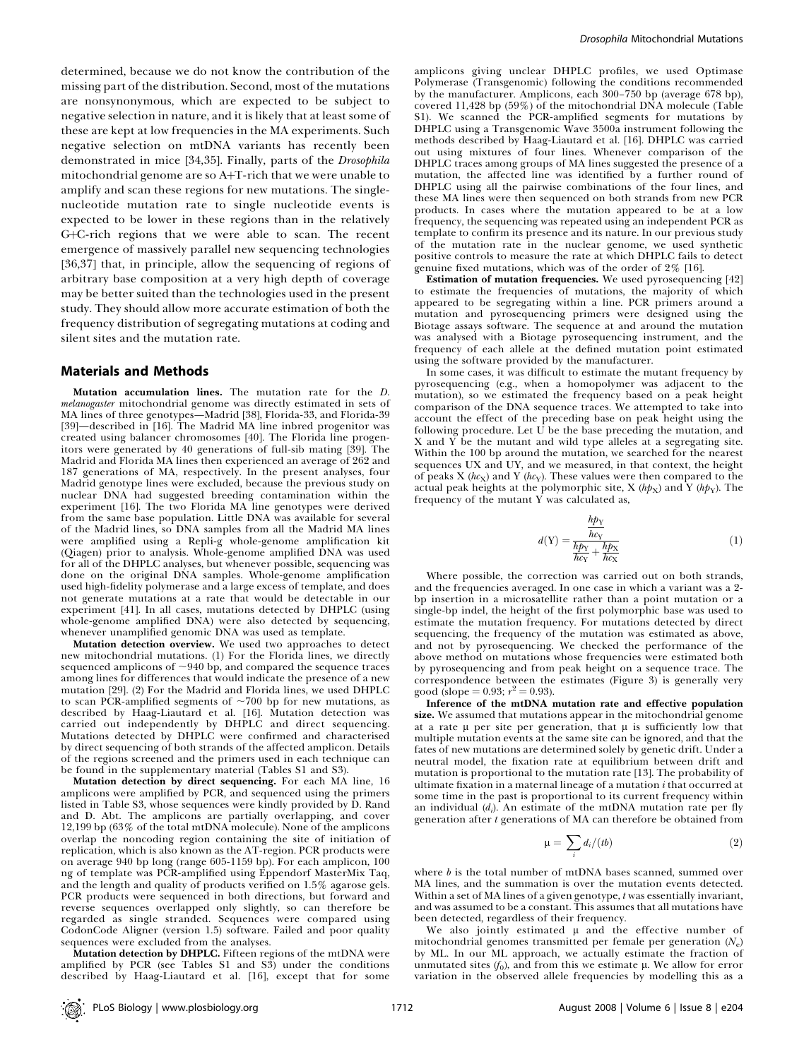determined, because we do not know the contribution of the missing part of the distribution. Second, most of the mutations are nonsynonymous, which are expected to be subject to negative selection in nature, and it is likely that at least some of these are kept at low frequencies in the MA experiments. Such negative selection on mtDNA variants has recently been demonstrated in mice [34,35]. Finally, parts of the Drosophila mitochondrial genome are so A+T-rich that we were unable to amplify and scan these regions for new mutations. The singlenucleotide mutation rate to single nucleotide events is expected to be lower in these regions than in the relatively  $G+C$ -rich regions that we were able to scan. The recent emergence of massively parallel new sequencing technologies [36,37] that, in principle, allow the sequencing of regions of arbitrary base composition at a very high depth of coverage may be better suited than the technologies used in the present study. They should allow more accurate estimation of both the frequency distribution of segregating mutations at coding and silent sites and the mutation rate.

#### Materials and Methods

Mutation accumulation lines. The mutation rate for the D. melanogaster mitochondrial genome was directly estimated in sets of MA lines of three genotypes—Madrid [38], Florida-33, and Florida-39 [39]—described in [16]. The Madrid MA line inbred progenitor was created using balancer chromosomes [40]. The Florida line progenitors were generated by 40 generations of full-sib mating [39]. The Madrid and Florida MA lines then experienced an average of 262 and 187 generations of MA, respectively. In the present analyses, four Madrid genotype lines were excluded, because the previous study on nuclear DNA had suggested breeding contamination within the experiment [16]. The two Florida MA line genotypes were derived from the same base population. Little DNA was available for several of the Madrid lines, so DNA samples from all the Madrid MA lines were amplified using a Repli-g whole-genome amplification kit (Qiagen) prior to analysis. Whole-genome amplified DNA was used for all of the DHPLC analyses, but whenever possible, sequencing was done on the original DNA samples. Whole-genome amplification used high-fidelity polymerase and a large excess of template, and does not generate mutations at a rate that would be detectable in our experiment [41]. In all cases, mutations detected by DHPLC (using whole-genome amplified DNA) were also detected by sequencing, whenever unamplified genomic DNA was used as template.

Mutation detection overview. We used two approaches to detect new mitochondrial mutations. (1) For the Florida lines, we directly sequenced amplicons of  $\sim$ 940 bp, and compared the sequence traces among lines for differences that would indicate the presence of a new mutation [29]. (2) For the Madrid and Florida lines, we used DHPLC to scan PCR-amplified segments of  $\sim$ 700 bp for new mutations, as described by Haag-Liautard et al. [16]. Mutation detection was carried out independently by DHPLC and direct sequencing. Mutations detected by DHPLC were confirmed and characterised by direct sequencing of both strands of the affected amplicon. Details of the regions screened and the primers used in each technique can be found in the supplementary material (Tables S1 and S3).

Mutation detection by direct sequencing. For each MA line, 16 amplicons were amplified by PCR, and sequenced using the primers listed in Table S3, whose sequences were kindly provided by D. Rand and D. Abt. The amplicons are partially overlapping, and cover 12,199 bp (63% of the total mtDNA molecule). None of the amplicons overlap the noncoding region containing the site of initiation of replication, which is also known as the AT-region. PCR products were on average 940 bp long (range 605-1159 bp). For each amplicon, 100 ng of template was PCR-amplified using Eppendorf MasterMix Taq, and the length and quality of products verified on 1.5% agarose gels. PCR products were sequenced in both directions, but forward and reverse sequences overlapped only slightly, so can therefore be regarded as single stranded. Sequences were compared using CodonCode Aligner (version 1.5) software. Failed and poor quality sequences were excluded from the analyses.

Mutation detection by DHPLC. Fifteen regions of the mtDNA were amplified by PCR (see Tables  $S1$  and  $S3$ ) under the conditions described by Haag-Liautard et al. [16], except that for some

amplicons giving unclear DHPLC profiles, we used Optimase Polymerase (Transgenomic) following the conditions recommended by the manufacturer. Amplicons, each 300–750 bp (average 678 bp), covered 11,428 bp (59%) of the mitochondrial DNA molecule (Table S1). We scanned the PCR-amplified segments for mutations by DHPLC using a Transgenomic Wave 3500a instrument following the methods described by Haag-Liautard et al. [16]. DHPLC was carried out using mixtures of four lines. Whenever comparison of the DHPLC traces among groups of MA lines suggested the presence of a mutation, the affected line was identified by a further round of DHPLC using all the pairwise combinations of the four lines, and these MA lines were then sequenced on both strands from new PCR products. In cases where the mutation appeared to be at a low frequency, the sequencing was repeated using an independent PCR as template to confirm its presence and its nature. In our previous study of the mutation rate in the nuclear genome, we used synthetic positive controls to measure the rate at which DHPLC fails to detect genuine fixed mutations, which was of the order of 2% [16].

Estimation of mutation frequencies. We used pyrosequencing [42] to estimate the frequencies of mutations, the majority of which appeared to be segregating within a line. PCR primers around a mutation and pyrosequencing primers were designed using the Biotage assays software. The sequence at and around the mutation was analysed with a Biotage pyrosequencing instrument, and the frequency of each allele at the defined mutation point estimated using the software provided by the manufacturer.

In some cases, it was difficult to estimate the mutant frequency by pyrosequencing (e.g., when a homopolymer was adjacent to the mutation), so we estimated the frequency based on a peak height comparison of the DNA sequence traces. We attempted to take into account the effect of the preceding base on peak height using the following procedure. Let  $\vec{U}$  be the base preceding the mutation, and X and Y be the mutant and wild type alleles at a segregating site. Within the 100 bp around the mutation, we searched for the nearest sequences UX and UY, and we measured, in that context, the height of peaks X ( $hc$ <sub>X</sub>) and Y ( $hc$ <sub>Y</sub>). These values were then compared to the actual peak heights at the polymorphic site, X ( $h p_X$ ) and Y ( $h p_Y$ ). The frequency of the mutant  $\overline{Y}$  was calculated as,

$$
d(Y) = \frac{\frac{h p_Y}{h c_Y}}{\frac{h p_Y}{h c_Y} + \frac{h p_X}{h c_X}}\tag{1}
$$

Where possible, the correction was carried out on both strands, and the frequencies averaged. In one case in which a variant was a 2 bp insertion in a microsatellite rather than a point mutation or a single-bp indel, the height of the first polymorphic base was used to estimate the mutation frequency. For mutations detected by direct sequencing, the frequency of the mutation was estimated as above, and not by pyrosequencing. We checked the performance of the above method on mutations whose frequencies were estimated both by pyrosequencing and from peak height on a sequence trace. The correspondence between the estimates (Figure 3) is generally very good (slope = 0.93;  $r^2 = 0.93$ ).

Inference of the mtDNA mutation rate and effective population size. We assumed that mutations appear in the mitochondrial genome at a rate  $\mu$  per site per generation, that  $\mu$  is sufficiently low that multiple mutation events at the same site can be ignored, and that the fates of new mutations are determined solely by genetic drift. Under a neutral model, the fixation rate at equilibrium between drift and mutation is proportional to the mutation rate [13]. The probability of ultimate fixation in a maternal lineage of a mutation  $i$  that occurred at some time in the past is proportional to its current frequency within an individual  $(d_i)$ . An estimate of the mtDNA mutation rate per fly generation after t generations of MA can therefore be obtained from

$$
\mu = \sum_{i} d_i / (tb) \tag{2}
$$

where  $b$  is the total number of mtDNA bases scanned, summed over MA lines, and the summation is over the mutation events detected. Within a set of MA lines of a given genotype, t was essentially invariant, and was assumed to be a constant. This assumes that all mutations have been detected, regardless of their frequency.

We also jointly estimated  $\mu$  and the effective number of mitochondrial genomes transmitted per female per generation  $(N_e)$ by ML. In our ML approach, we actually estimate the fraction of unmutated sites  $(f_0)$ , and from this we estimate  $\mu$ . We allow for error variation in the observed allele frequencies by modelling this as a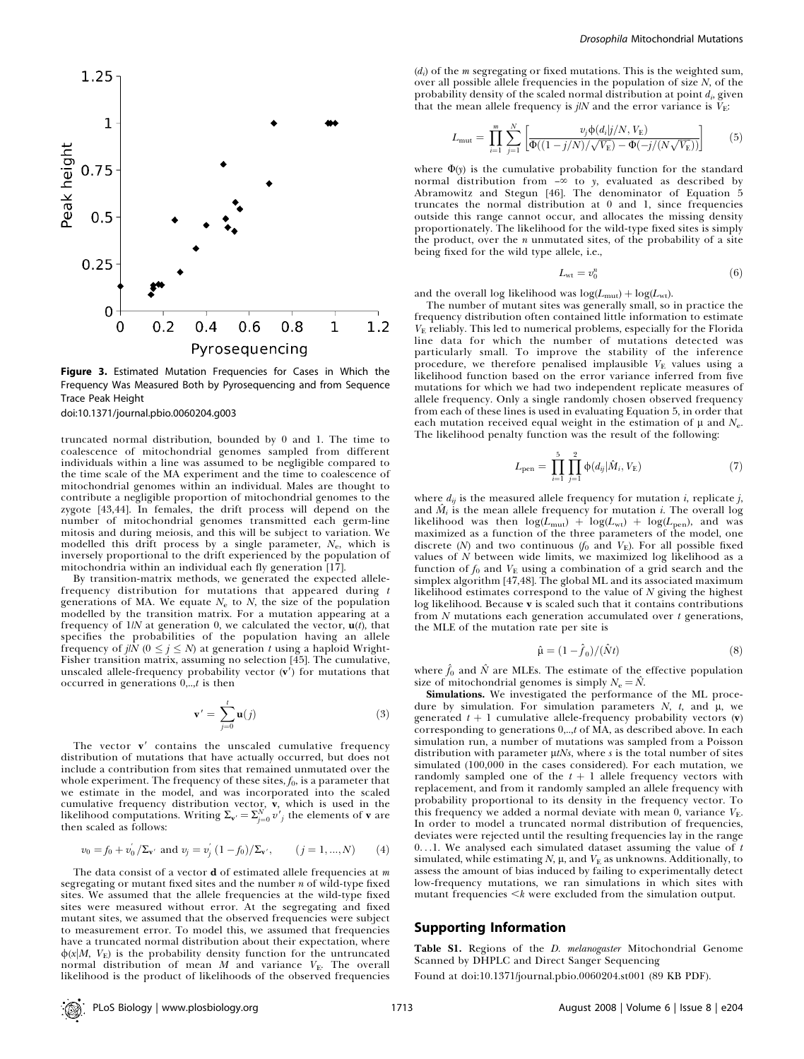

Figure 3. Estimated Mutation Frequencies for Cases in Which the Frequency Was Measured Both by Pyrosequencing and from Sequence Trace Peak Height

doi:10.1371/journal.pbio.0060204.g003

truncated normal distribution, bounded by 0 and 1. The time to coalescence of mitochondrial genomes sampled from different individuals within a line was assumed to be negligible compared to the time scale of the MA experiment and the time to coalescence of mitochondrial genomes within an individual. Males are thought to contribute a negligible proportion of mitochondrial genomes to the zygote [43,44]. In females, the drift process will depend on the number of mitochondrial genomes transmitted each germ-line mitosis and during meiosis, and this will be subject to variation. We modelled this drift process by a single parameter,  $N_e$ , which is inversely proportional to the drift experienced by the population of mitochondria within an individual each fly generation [17].

By transition-matrix methods, we generated the expected allelefrequency distribution for mutations that appeared during  $t$ generations of MA. We equate  $N_e$  to  $N$ , the size of the population modelled by the transition matrix. For a mutation appearing at a frequency of  $1/N$  at generation 0, we calculated the vector,  $\mathbf{u}(t)$ , that specifies the probabilities of the population having an allele frequency of *j*| $\bar{N}$  ( $0 \leq j \leq N$ ) at generation t using a haploid Wright-Fisher transition matrix, assuming no selection [45]. The cumulative, unscaled allele-frequency probability vector  $(v')$  for mutations that occurred in generations  $0, \ldots, t$  is then

$$
\mathbf{v}' = \sum_{j=0}^{t} \mathbf{u}(j) \tag{3}
$$

The vector  $\mathbf{v}'$  contains the unscaled cumulative frequency distribution of mutations that have actually occurred, but does not include a contribution from sites that remained unmutated over the whole experiment. The frequency of these sites,  $f_0$ , is a parameter that we estimate in the model, and was incorporated into the scaled cumulative frequency distribution vector, **v**, which is used in the likelihood computations. Writing  $\Sigma_{\mathbf{v}'} = \sum_{j=0}^{N} v'_{j}$  the elements of **v** are then scaled as follows:

$$
v_0 = f_0 + v'_0 / \Sigma_{\mathbf{v'}} \text{ and } v_j = v'_j (1 - f_0) / \Sigma_{\mathbf{v'}} \text{, } (j = 1, ..., N) \text{ (4)}
$$

The data consist of a vector **d** of estimated allele frequencies at  $m$ segregating or mutant fixed sites and the number  $n$  of wild-type fixed sites. We assumed that the allele frequencies at the wild-type fixed sites were measured without error. At the segregating and fixed mutant sites, we assumed that the observed frequencies were subject to measurement error. To model this, we assumed that frequencies have a truncated normal distribution about their expectation, where  $\phi(x|M, V_F)$  is the probability density function for the untruncated normal distribution of mean  $M$  and variance  $V<sub>E</sub>$ . The overall likelihood is the product of likelihoods of the observed frequencies

 $(d<sub>i</sub>)$  of the *m* segregating or fixed mutations. This is the weighted sum, over all possible allele frequencies in the population of size  $N$ , of the probability density of the scaled normal distribution at point  $d_i$ , given that the mean allele frequency is j/N and the error variance is  $\bar{V}_{\rm E}$ :

$$
L_{\text{mut}} = \prod_{i=1}^{m} \sum_{j=1}^{N} \left[ \frac{v_j \phi(d_i | j/N, V_{\text{E}})}{\Phi((1 - j/N)/\sqrt{V_{\text{E}}}) - \Phi(-j/(N\sqrt{V_{\text{E}}}))} \right]
$$
(5)

where  $\Phi(y)$  is the cumulative probability function for the standard normal distribution from  $-\infty$  to y, evaluated as described by Abramowitz and Stegun [46]. The denominator of Equation 5 truncates the normal distribution at 0 and 1, since frequencies outside this range cannot occur, and allocates the missing density proportionately. The likelihood for the wild-type fixed sites is simply the product, over the  $n$  unmutated sites, of the probability of a site being fixed for the wild type allele, i.e.,

$$
L_{\rm wt} = v_0^n \tag{6}
$$

and the overall log likelihood was  $log(L_{mut}) + log(L_{wt}).$ 

The number of mutant sites was generally small, so in practice the frequency distribution often contained little information to estimate  $V<sub>F</sub>$  reliably. This led to numerical problems, especially for the Florida line data for which the number of mutations detected was particularly small. To improve the stability of the inference procedure, we therefore penalised implausible  $V<sub>E</sub>$  values using a likelihood function based on the error variance inferred from five mutations for which we had two independent replicate measures of allele frequency. Only a single randomly chosen observed frequency from each of these lines is used in evaluating Equation 5, in order that each mutation received equal weight in the estimation of  $\mu$  and  $N_{\rm e}$ . The likelihood penalty function was the result of the following:

$$
L_{\text{pen}} = \prod_{i=1}^{5} \prod_{j=1}^{2} \phi(d_{ij} | \hat{M}_i, V_{\text{E}})
$$
(7)

where  $d_{ij}$  is the measured allele frequency for mutation *i*, replicate *j*, and  $\tilde{M}_i$  is the mean allele frequency for mutation *i*. The overall log likelihood was then  $log(L_{mut}) + log(L_{wt}) + log(L_{pen})$ , and was maximized as a function of the three parameters of the model, one discrete (N) and two continuous ( $f_0$  and  $V_E$ ). For all possible fixed values of  $N$  between wide limits, we maximized log likelihood as a function of  $f_0$  and  $V_E$  using a combination of a grid search and the simplex algorithm [47,48]. The global ML and its associated maximum likelihood estimates correspond to the value of  $N$  giving the highest log likelihood. Because v is scaled such that it contains contributions from  $N$  mutations each generation accumulated over  $t$  generations, the MLE of the mutation rate per site is

$$
\hat{\mu} = (1 - \hat{f}_0) / (\hat{N}t) \tag{8}
$$

where  $\hat{f}_0$  and  $\hat{N}$  are MLEs. The estimate of the effective population size of mitochondrial genomes is simply  $N_e = N$ .

Simulations. We investigated the performance of the ML procedure by simulation. For simulation parameters  $N$ ,  $t$ , and  $\mu$ , we generated  $t + 1$  cumulative allele-frequency probability vectors (v) corresponding to generations 0,..,t of MA, as described above. In each simulation run, a number of mutations was sampled from a Poisson distribution with parameter  $\mu$ tNs, where s is the total number of sites simulated (100,000 in the cases considered). For each mutation, we randomly sampled one of the  $t + 1$  allele frequency vectors with replacement, and from it randomly sampled an allele frequency with probability proportional to its density in the frequency vector. To this frequency we added a normal deviate with mean 0, variance  $V_F$ . In order to model a truncated normal distribution of frequencies, deviates were rejected until the resulting frequencies lay in the range 0...1. We analysed each simulated dataset assuming the value of  $t$ simulated, while estimating  $N$ ,  $\mu$ , and  $V_E$  as unknowns. Additionally, to assess the amount of bias induced by failing to experimentally detect low-frequency mutations, we ran simulations in which sites with mutant frequencies  $\leq k$  were excluded from the simulation output.

#### Supporting Information

Table S1. Regions of the D. melanogaster Mitochondrial Genome Scanned by DHPLC and Direct Sanger Sequencing

Found at doi:10.1371/journal.pbio.0060204.st001 (89 KB PDF).